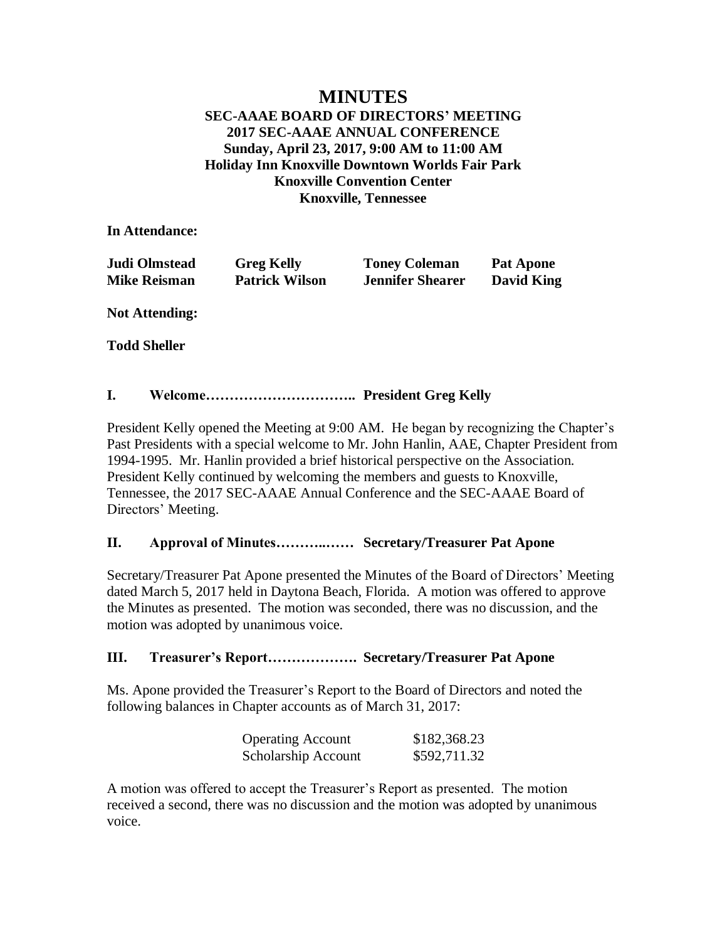# **MINUTES**

# **SEC-AAAE BOARD OF DIRECTORS' MEETING 2017 SEC-AAAE ANNUAL CONFERENCE Sunday, April 23, 2017, 9:00 AM to 11:00 AM Holiday Inn Knoxville Downtown Worlds Fair Park Knoxville Convention Center Knoxville, Tennessee**

**In Attendance:**

| Judi Olmstead       | <b>Greg Kelly</b>     | <b>Toney Coleman</b>    | <b>Pat Apone</b>  |
|---------------------|-----------------------|-------------------------|-------------------|
| <b>Mike Reisman</b> | <b>Patrick Wilson</b> | <b>Jennifer Shearer</b> | <b>David King</b> |

**Not Attending:**

**Todd Sheller**

## **I. Welcome………………………….. President Greg Kelly**

President Kelly opened the Meeting at 9:00 AM. He began by recognizing the Chapter's Past Presidents with a special welcome to Mr. John Hanlin, AAE, Chapter President from 1994-1995. Mr. Hanlin provided a brief historical perspective on the Association. President Kelly continued by welcoming the members and guests to Knoxville, Tennessee, the 2017 SEC-AAAE Annual Conference and the SEC-AAAE Board of Directors' Meeting.

# **II. Approval of Minutes………..…… Secretary/Treasurer Pat Apone**

Secretary/Treasurer Pat Apone presented the Minutes of the Board of Directors' Meeting dated March 5, 2017 held in Daytona Beach, Florida. A motion was offered to approve the Minutes as presented. The motion was seconded, there was no discussion, and the motion was adopted by unanimous voice.

### **III. Treasurer's Report………………. Secretary/Treasurer Pat Apone**

Ms. Apone provided the Treasurer's Report to the Board of Directors and noted the following balances in Chapter accounts as of March 31, 2017:

| <b>Operating Account</b> | \$182,368.23 |
|--------------------------|--------------|
| Scholarship Account      | \$592,711.32 |

A motion was offered to accept the Treasurer's Report as presented. The motion received a second, there was no discussion and the motion was adopted by unanimous voice.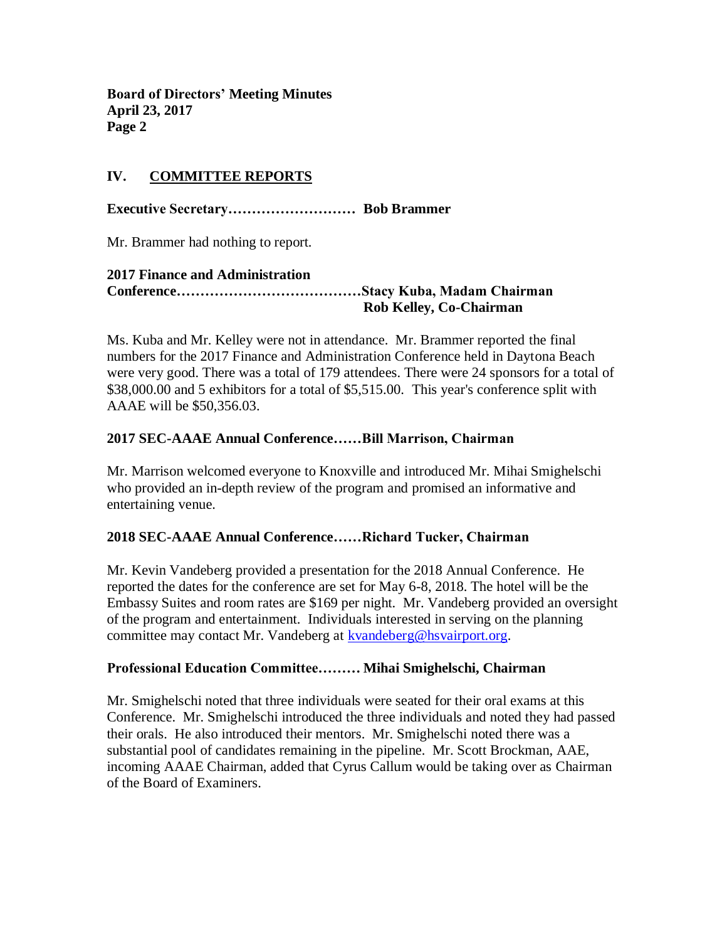**Board of Directors' Meeting Minutes April 23, 2017 Page 2**

# **IV. COMMITTEE REPORTS**

**Executive Secretary……………………… Bob Brammer**

Mr. Brammer had nothing to report.

## **2017 Finance and Administration Conference…………………………………Stacy Kuba, Madam Chairman Rob Kelley, Co-Chairman**

Ms. Kuba and Mr. Kelley were not in attendance. Mr. Brammer reported the final numbers for the 2017 Finance and Administration Conference held in Daytona Beach were very good. There was a total of 179 attendees. There were 24 sponsors for a total of \$38,000.00 and 5 exhibitors for a total of \$5,515.00. This year's conference split with AAAE will be \$50,356.03.

# **2017 SEC-AAAE Annual Conference……Bill Marrison, Chairman**

Mr. Marrison welcomed everyone to Knoxville and introduced Mr. Mihai Smighelschi who provided an in-depth review of the program and promised an informative and entertaining venue.

### **2018 SEC-AAAE Annual Conference……Richard Tucker, Chairman**

Mr. Kevin Vandeberg provided a presentation for the 2018 Annual Conference. He reported the dates for the conference are set for May 6-8, 2018. The hotel will be the Embassy Suites and room rates are \$169 per night. Mr. Vandeberg provided an oversight of the program and entertainment. Individuals interested in serving on the planning committee may contact Mr. Vandeberg at [kvandeberg@hsvairport.org.](mailto:kvandeberg@hsvairport.org)

### **Professional Education Committee……… Mihai Smighelschi, Chairman**

Mr. Smighelschi noted that three individuals were seated for their oral exams at this Conference. Mr. Smighelschi introduced the three individuals and noted they had passed their orals. He also introduced their mentors. Mr. Smighelschi noted there was a substantial pool of candidates remaining in the pipeline. Mr. Scott Brockman, AAE, incoming AAAE Chairman, added that Cyrus Callum would be taking over as Chairman of the Board of Examiners.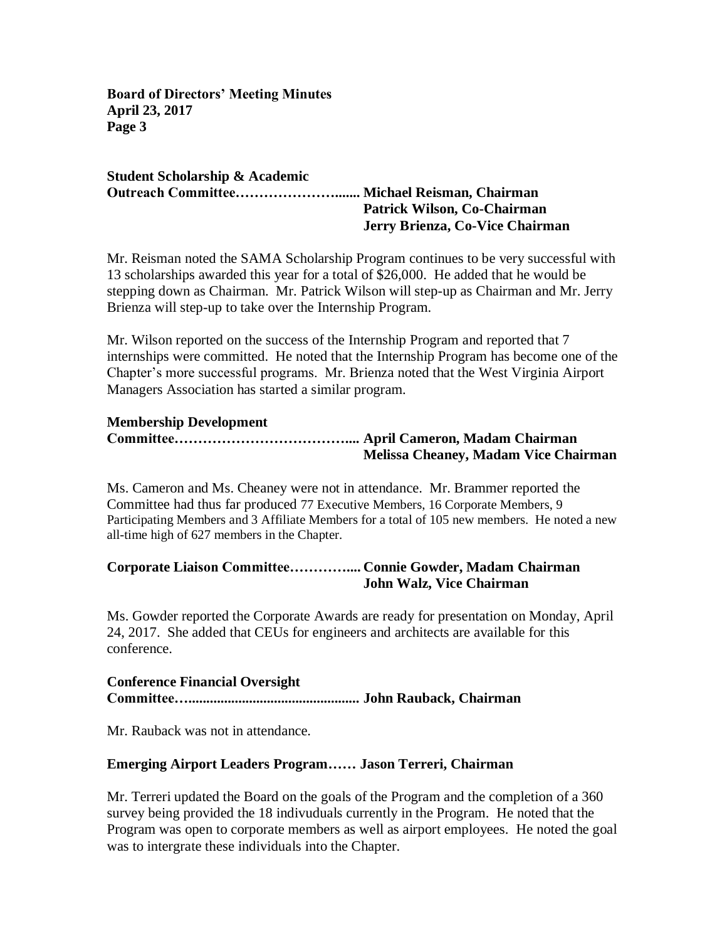**Board of Directors' Meeting Minutes April 23, 2017 Page 3**

## **Student Scholarship & Academic Outreach Committee…………………....... Michael Reisman, Chairman Patrick Wilson, Co-Chairman Jerry Brienza, Co-Vice Chairman**

Mr. Reisman noted the SAMA Scholarship Program continues to be very successful with 13 scholarships awarded this year for a total of \$26,000. He added that he would be stepping down as Chairman. Mr. Patrick Wilson will step-up as Chairman and Mr. Jerry Brienza will step-up to take over the Internship Program.

Mr. Wilson reported on the success of the Internship Program and reported that 7 internships were committed. He noted that the Internship Program has become one of the Chapter's more successful programs. Mr. Brienza noted that the West Virginia Airport Managers Association has started a similar program.

# **Membership Development**

# **Committee……………………………….... April Cameron, Madam Chairman Melissa Cheaney, Madam Vice Chairman**

Ms. Cameron and Ms. Cheaney were not in attendance. Mr. Brammer reported the Committee had thus far produced 77 Executive Members, 16 Corporate Members, 9 Participating Members and 3 Affiliate Members for a total of 105 new members. He noted a new all-time high of 627 members in the Chapter.

# **Corporate Liaison Committee………….... Connie Gowder, Madam Chairman John Walz, Vice Chairman**

Ms. Gowder reported the Corporate Awards are ready for presentation on Monday, April 24, 2017. She added that CEUs for engineers and architects are available for this conference.

# **Conference Financial Oversight Committee…................................................ John Rauback, Chairman**

Mr. Rauback was not in attendance.

# **Emerging Airport Leaders Program…… Jason Terreri, Chairman**

Mr. Terreri updated the Board on the goals of the Program and the completion of a 360 survey being provided the 18 indivuduals currently in the Program. He noted that the Program was open to corporate members as well as airport employees. He noted the goal was to intergrate these individuals into the Chapter.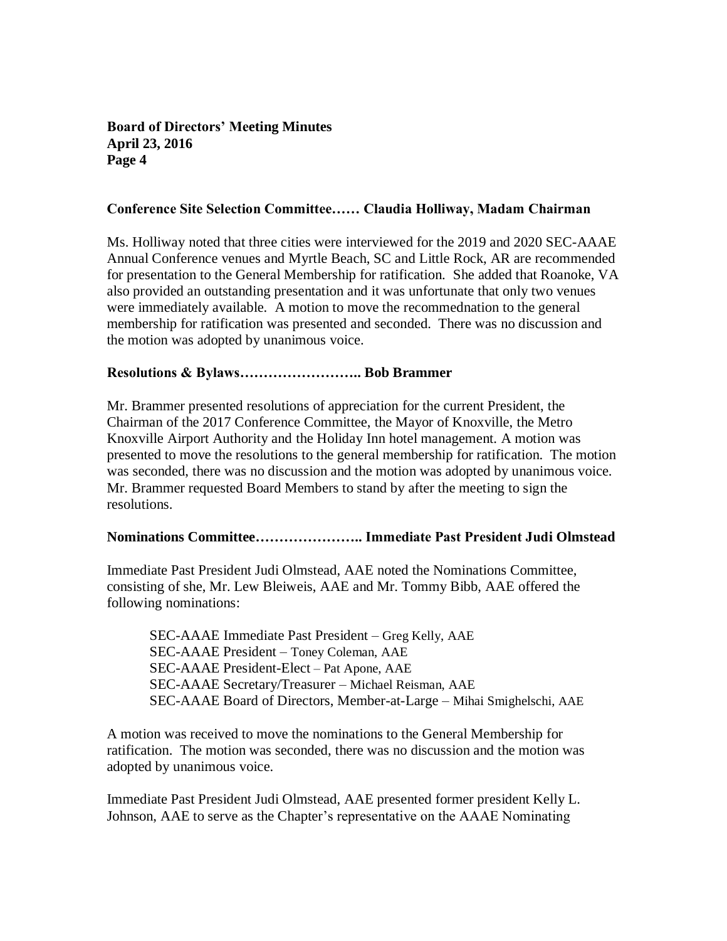# **Board of Directors' Meeting Minutes April 23, 2016 Page 4**

#### **Conference Site Selection Committee…… Claudia Holliway, Madam Chairman**

Ms. Holliway noted that three cities were interviewed for the 2019 and 2020 SEC-AAAE Annual Conference venues and Myrtle Beach, SC and Little Rock, AR are recommended for presentation to the General Membership for ratification. She added that Roanoke, VA also provided an outstanding presentation and it was unfortunate that only two venues were immediately available. A motion to move the recommednation to the general membership for ratification was presented and seconded. There was no discussion and the motion was adopted by unanimous voice.

#### **Resolutions & Bylaws…………………….. Bob Brammer**

Mr. Brammer presented resolutions of appreciation for the current President, the Chairman of the 2017 Conference Committee, the Mayor of Knoxville, the Metro Knoxville Airport Authority and the Holiday Inn hotel management. A motion was presented to move the resolutions to the general membership for ratification. The motion was seconded, there was no discussion and the motion was adopted by unanimous voice. Mr. Brammer requested Board Members to stand by after the meeting to sign the resolutions.

# **Nominations Committee………………….. Immediate Past President Judi Olmstead**

Immediate Past President Judi Olmstead, AAE noted the Nominations Committee, consisting of she, Mr. Lew Bleiweis, AAE and Mr. Tommy Bibb, AAE offered the following nominations:

SEC-AAAE Immediate Past President – Greg Kelly, AAE SEC-AAAE President – Toney Coleman, AAE SEC-AAAE President-Elect – Pat Apone, AAE SEC-AAAE Secretary/Treasurer – Michael Reisman, AAE SEC-AAAE Board of Directors, Member-at-Large – Mihai Smighelschi, AAE

A motion was received to move the nominations to the General Membership for ratification. The motion was seconded, there was no discussion and the motion was adopted by unanimous voice.

Immediate Past President Judi Olmstead, AAE presented former president Kelly L. Johnson, AAE to serve as the Chapter's representative on the AAAE Nominating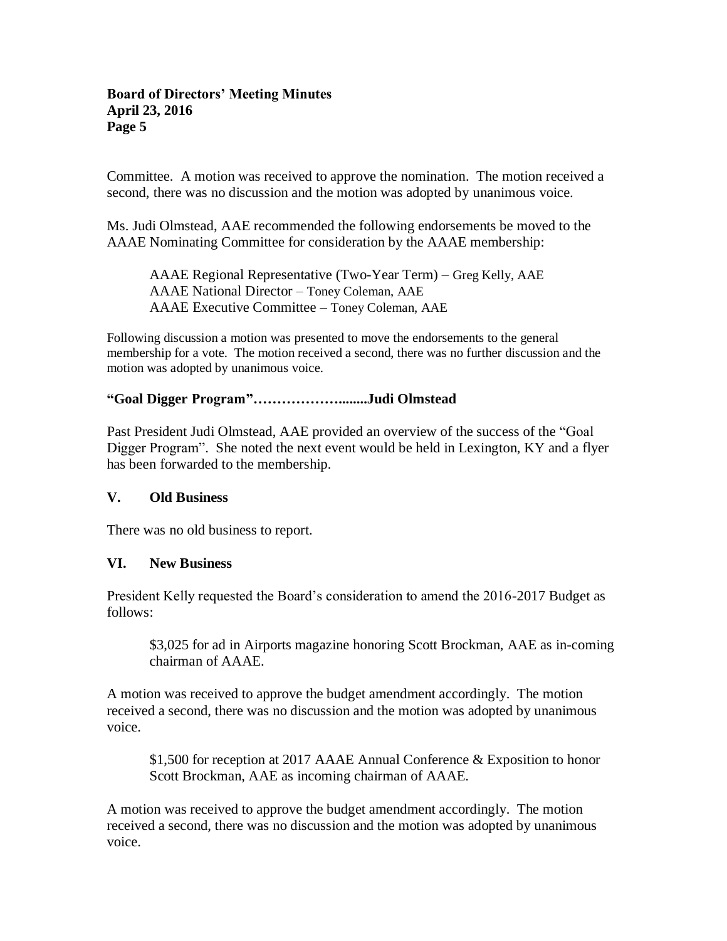#### **Board of Directors' Meeting Minutes April 23, 2016 Page 5**

Committee. A motion was received to approve the nomination. The motion received a second, there was no discussion and the motion was adopted by unanimous voice.

Ms. Judi Olmstead, AAE recommended the following endorsements be moved to the AAAE Nominating Committee for consideration by the AAAE membership:

AAAE Regional Representative (Two-Year Term) – Greg Kelly, AAE AAAE National Director – Toney Coleman, AAE AAAE Executive Committee – Toney Coleman, AAE

Following discussion a motion was presented to move the endorsements to the general membership for a vote. The motion received a second, there was no further discussion and the motion was adopted by unanimous voice.

# **"Goal Digger Program"………………........Judi Olmstead**

Past President Judi Olmstead, AAE provided an overview of the success of the "Goal Digger Program". She noted the next event would be held in Lexington, KY and a flyer has been forwarded to the membership.

### **V. Old Business**

There was no old business to report.

### **VI. New Business**

President Kelly requested the Board's consideration to amend the 2016-2017 Budget as follows:

\$3,025 for ad in Airports magazine honoring Scott Brockman, AAE as in-coming chairman of AAAE.

A motion was received to approve the budget amendment accordingly. The motion received a second, there was no discussion and the motion was adopted by unanimous voice.

\$1,500 for reception at 2017 AAAE Annual Conference & Exposition to honor Scott Brockman, AAE as incoming chairman of AAAE.

A motion was received to approve the budget amendment accordingly. The motion received a second, there was no discussion and the motion was adopted by unanimous voice.